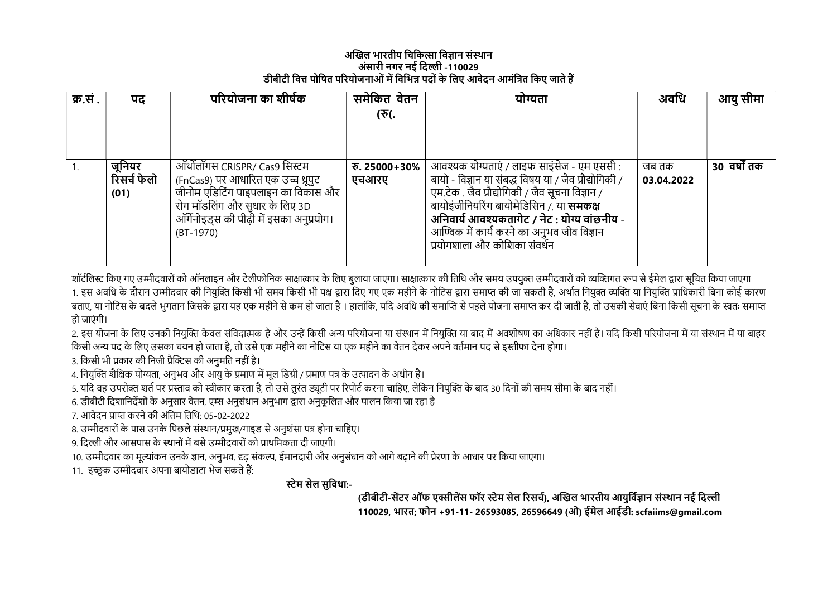## अखिल भारतीय चिकित्सा विज्ञान संस्थान अंसारी नगर नई दिल्ली -110029 डीबीटी वित्त पोषित परियोजनाओं में विभिन्न पदों के लिए आवेदन आमंत्रित किए जाते हैं

| क्र.सं . | पद           | परियोजना का शीर्षक                       | समेकित वेतन  | योग्यता                                               | अवधि       | आयु सीमा     |
|----------|--------------|------------------------------------------|--------------|-------------------------------------------------------|------------|--------------|
|          |              |                                          | (रु(.        |                                                       |            |              |
|          |              |                                          |              |                                                       |            |              |
|          |              |                                          |              |                                                       |            |              |
|          |              |                                          |              |                                                       |            |              |
|          | जूनियर       | ऑर्थोलॉगस CRISPR/ Cas9 सिस्टम            | ক. 25000+30% | आवश्यक योग्यताएं / लाइफ साइंसेज - एम एससी :           | जब तक      | 30 वर्षों तक |
|          | रिंसर्च फेलो | (FnCas9) पर आधारित एक उच्च थ्रूपुट       | एचआरए        | बायो - विज्ञान या संबद्ध विषय या / जैव प्रौद्योगिकी / | 03.04.2022 |              |
|          | (01)         | जीनोम एडिटिंग पाइपलाइन का विकास और       |              | एम.टेक . जैव प्रौद्योगिकी / जैव सूचना विज्ञान /       |            |              |
|          |              | रोग मॉडलिंग और सुधार के लिए 3D           |              | बायोइंजीनियरिंग बायोमेडिसिन /, या <b>समकक्ष</b>       |            |              |
|          |              | ऑर्गेनोइड्स की पीढ़ी में इसका अनुप्रयोग। |              | अनिवार्य आवश्यकतागेट / नेट : योग्य वांछनीय -          |            |              |
|          |              | $(BT-1970)$                              |              | आण्विक में कार्य करने का अनुभव जीव विज्ञान            |            |              |
|          |              |                                          |              | प्रयोगशाला और कोशिका संवर्धन                          |            |              |
|          |              |                                          |              |                                                       |            |              |

शॉर्टलिस्ट किए गए उम्मीदवारों को ऑनलाइन और टेलीफोनिक साक्षात्कार के लिए बुलाया। साक्षात्कार की तिथि और समय उपयुक्त उम्मीदवारों को व्यक्तिगत रूप से ईमेल द्वारा सूचित किया जाएगा 1. इस अवधि के दौरान उम्मीदवार की नियुक्ति किसी भी समय किसी भी पक्ष द्वारा एक महीने के नोटिस द्वारा समाप्त की जा सकती है, अर्थात नियुक्त व्यक्ति या नियुक्ति प्राधिकारी बिना कोई कारण बताए, या नोटिस के बदले भुगतान जिसके द्वारा यह एक महीने से कम हो जाता है । हालांकि, यदि अवधि की समाप्ति से पहले योजना समाप्त कर दी जाती है, तो उसकी सेवाएं बिना किसी सूचना के स्वतः समाप्त हो जाएं गी।

2. इस योजना के लिए उनकी नियक्ति केवल संविदात्मक है और उन्हें किसी अन्य परियोजना या संस्थान में अवयिष्ण का अधिकार नहीं है। यदि किसी परियोजना में या संस्थान में या बाहर किसी अन्य पद के लिए उसका चयन हो जाता है, तो उसे एक महीने का नोटिस या एक महीने का वेतन देकर अपने वर्तमान पद से इस्तीफा देना होगा।

3. किसी भी प्रकार की निजी प्रैक्टिस की अनुमति नहीं है।

4. नियक्ति शैक्षिक योग्यता, अनुभव और आयु के प्रमाण में मूल डिग्री / प्रमाण पत्र के उत्पादन के अधीन है।

5. यदि वह उपरोक्त शर्त पर प्रस्ताव को स्वीकार करता है, तो उसे तुरंत ड्यूटी पर रिपोर्ट करना चाहिए, लेकिन नियुक्ति के बाद 30 दिनों की समय सीमा के बाद नहीं।

6. डीबीटी दिशानिर्देशों के अनुसार वेतन, एम्स अनुसंधान अनुभाग द्वारा अनुकूलित और पालन किया जा रहा है

7. आवेदन प्राप्त करने की अंतिम तिथि: 05-02-2022

8. उम्मीदवारों के पास उनके पिछले संस्थान/प्रमुख/गाइड से अनुशंसा पत्र होना चाहिए।

<u>9. दिल्ली और आसपास के स्थानों में बसे उम्मीदवारों को प्राथमिकता दी जाएगी।</u>

10. उम्मीदवार का मूल्यांकन उनके ज्ञान, अनुभव, दृढ़ संकल्प, ईमानदारी और अनुसंधान को आगे बढ़ाने की प्रेरणा के आधार पर किया जाएगा।

11. इच्छुक उम्मीदवार अपना बायोडाटा भेज सकते हैं:

ːेम सेल सुिवधा:-

(डीबीटी-सेंटर ऑफ एक्सीलेंस फॉर स्टेम सेल रिसर्च), अखिल भारतीय आयुर्विज्ञान संस्थान नई दिल्ली 110029, भारत; फोन +91-11- 26593085, 26596649 (ओ) ईमेल आईडी: scfaiims@gmail.com